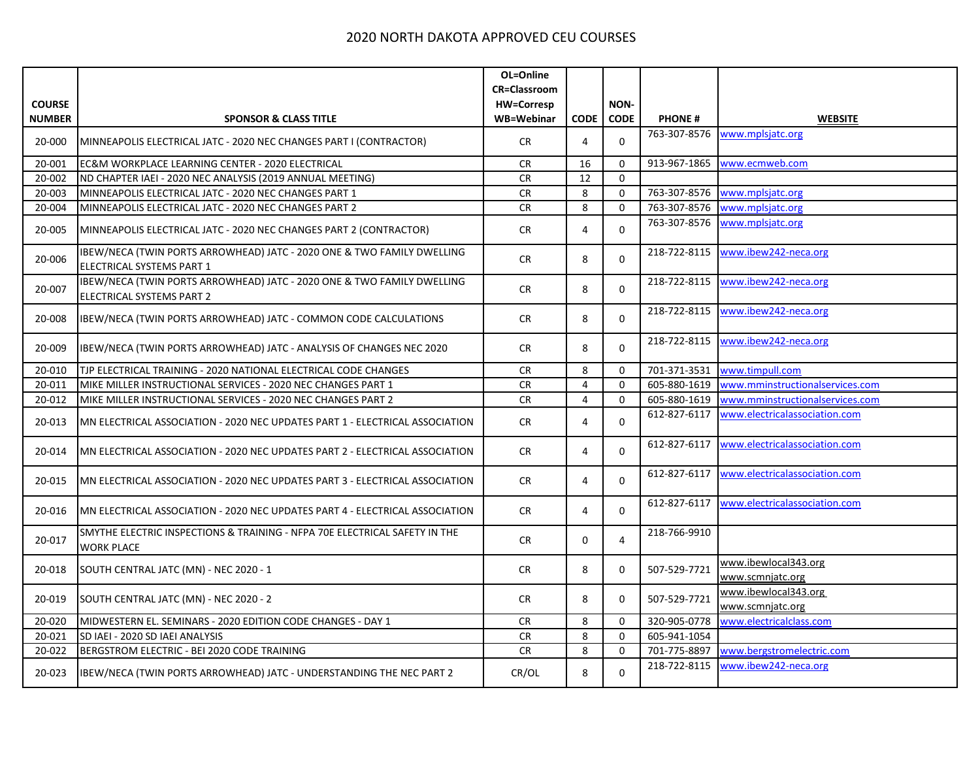| <b>COURSE</b><br><b>NUMBER</b><br>20-000 | <b>SPONSOR &amp; CLASS TITLE</b><br>MINNEAPOLIS ELECTRICAL JATC - 2020 NEC CHANGES PART I (CONTRACTOR)     | OL=Online<br><b>CR=Classroom</b><br><b>HW=Corresp</b><br>WB=Webinar | <b>CODE</b>    | NON-           |               |                                          |
|------------------------------------------|------------------------------------------------------------------------------------------------------------|---------------------------------------------------------------------|----------------|----------------|---------------|------------------------------------------|
|                                          |                                                                                                            |                                                                     |                |                |               |                                          |
|                                          |                                                                                                            |                                                                     |                |                |               |                                          |
|                                          |                                                                                                            |                                                                     |                |                |               |                                          |
|                                          |                                                                                                            |                                                                     |                | <b>CODE</b>    | <b>PHONE#</b> | <b>WEBSITE</b>                           |
|                                          |                                                                                                            | <b>CR</b>                                                           | 4              | $\mathbf 0$    | 763-307-8576  | www.mplsjatc.org                         |
| 20-001                                   | EC&M WORKPLACE LEARNING CENTER - 2020 ELECTRICAL                                                           | <b>CR</b>                                                           | 16             | $\Omega$       | 913-967-1865  | www.ecmweb.com                           |
| 20-002                                   | ND CHAPTER IAEI - 2020 NEC ANALYSIS (2019 ANNUAL MEETING)                                                  | <b>CR</b>                                                           | 12             | $\mathbf 0$    |               |                                          |
| 20-003                                   | MINNEAPOLIS ELECTRICAL JATC - 2020 NEC CHANGES PART 1                                                      | <b>CR</b>                                                           | 8              | $\mathbf 0$    | 763-307-8576  | www.mplsjatc.org                         |
| 20-004                                   | MINNEAPOLIS ELECTRICAL JATC - 2020 NEC CHANGES PART 2                                                      | <b>CR</b>                                                           | 8              | $\mathbf 0$    | 763-307-8576  | www.mplsjatc.org                         |
| 20-005                                   | MINNEAPOLIS ELECTRICAL JATC - 2020 NEC CHANGES PART 2 (CONTRACTOR)                                         | <b>CR</b>                                                           | 4              | $\mathbf 0$    | 763-307-8576  | www.mplsjatc.org                         |
| 20-006                                   | IBEW/NECA (TWIN PORTS ARROWHEAD) JATC - 2020 ONE & TWO FAMILY DWELLING<br>ELECTRICAL SYSTEMS PART 1        | <b>CR</b>                                                           | 8              | $\Omega$       | 218-722-8115  | www.ibew242-neca.org                     |
| 20-007                                   | IBEW/NECA (TWIN PORTS ARROWHEAD) JATC - 2020 ONE & TWO FAMILY DWELLING<br><b>ELECTRICAL SYSTEMS PART 2</b> | <b>CR</b>                                                           | 8              | $\Omega$       | 218-722-8115  | www.ibew242-neca.org                     |
| 20-008                                   | IBEW/NECA (TWIN PORTS ARROWHEAD) JATC - COMMON CODE CALCULATIONS                                           | <b>CR</b>                                                           | 8              | $\Omega$       | 218-722-8115  | www.ibew242-neca.org                     |
| 20-009                                   | IBEW/NECA (TWIN PORTS ARROWHEAD) JATC - ANALYSIS OF CHANGES NEC 2020                                       | <b>CR</b>                                                           | 8              | $\Omega$       | 218-722-8115  | www.ibew242-neca.org                     |
| 20-010                                   | TJP ELECTRICAL TRAINING - 2020 NATIONAL ELECTRICAL CODE CHANGES                                            | <b>CR</b>                                                           | 8              | 0              | 701-371-3531  | www.timpull.com                          |
| 20-011                                   | MIKE MILLER INSTRUCTIONAL SERVICES - 2020 NEC CHANGES PART 1                                               | <b>CR</b>                                                           | 4              | $\Omega$       | 605-880-1619  | www.mminstructionalservices.com          |
| 20-012                                   | MIKE MILLER INSTRUCTIONAL SERVICES - 2020 NEC CHANGES PART 2                                               | <b>CR</b>                                                           | $\overline{4}$ | $\mathbf 0$    | 605-880-1619  | www.mminstructionalservices.com          |
| 20-013                                   | MN ELECTRICAL ASSOCIATION - 2020 NEC UPDATES PART 1 - ELECTRICAL ASSOCIATION                               | <b>CR</b>                                                           | 4              | $\mathbf 0$    | 612-827-6117  | www.electricalassociation.com            |
| 20-014                                   | MN ELECTRICAL ASSOCIATION - 2020 NEC UPDATES PART 2 - ELECTRICAL ASSOCIATION                               | <b>CR</b>                                                           | 4              | $\mathbf 0$    | 612-827-6117  | www.electricalassociation.com            |
| 20-015                                   | MN ELECTRICAL ASSOCIATION - 2020 NEC UPDATES PART 3 - ELECTRICAL ASSOCIATION                               | <b>CR</b>                                                           | 4              | $\Omega$       | 612-827-6117  | www.electricalassociation.com            |
| 20-016                                   | MN ELECTRICAL ASSOCIATION - 2020 NEC UPDATES PART 4 - ELECTRICAL ASSOCIATION                               | <b>CR</b>                                                           | 4              | $\Omega$       | 612-827-6117  | www.electricalassociation.com            |
| 20-017                                   | SMYTHE ELECTRIC INSPECTIONS & TRAINING - NFPA 70E ELECTRICAL SAFETY IN THE<br><b>WORK PLACE</b>            | <b>CR</b>                                                           | $\Omega$       | $\overline{4}$ | 218-766-9910  |                                          |
| 20-018                                   | SOUTH CENTRAL JATC (MN) - NEC 2020 - 1                                                                     | <b>CR</b>                                                           | 8              | $\mathbf 0$    | 507-529-7721  | www.ibewlocal343.org<br>www.scmnjatc.org |
| 20-019                                   | SOUTH CENTRAL JATC (MN) - NEC 2020 - 2                                                                     | <b>CR</b>                                                           | 8              | $\Omega$       | 507-529-7721  | www.ibewlocal343.org<br>www.scmnjatc.org |
| 20-020                                   | MIDWESTERN EL. SEMINARS - 2020 EDITION CODE CHANGES - DAY 1                                                | CR                                                                  | 8              | $\mathbf 0$    | 320-905-0778  | www.electricalclass.com                  |
| 20-021                                   | SD IAEI - 2020 SD IAEI ANALYSIS                                                                            | CR                                                                  | 8              | $\Omega$       | 605-941-1054  |                                          |
| 20-022                                   | BERGSTROM ELECTRIC - BEI 2020 CODE TRAINING                                                                | <b>CR</b>                                                           | 8              | $\mathbf 0$    | 701-775-8897  | www.bergstromelectric.com                |
| 20-023                                   | IBEW/NECA (TWIN PORTS ARROWHEAD) JATC - UNDERSTANDING THE NEC PART 2                                       | CR/OL                                                               | 8              | $\Omega$       | 218-722-8115  | www.ibew242-neca.org                     |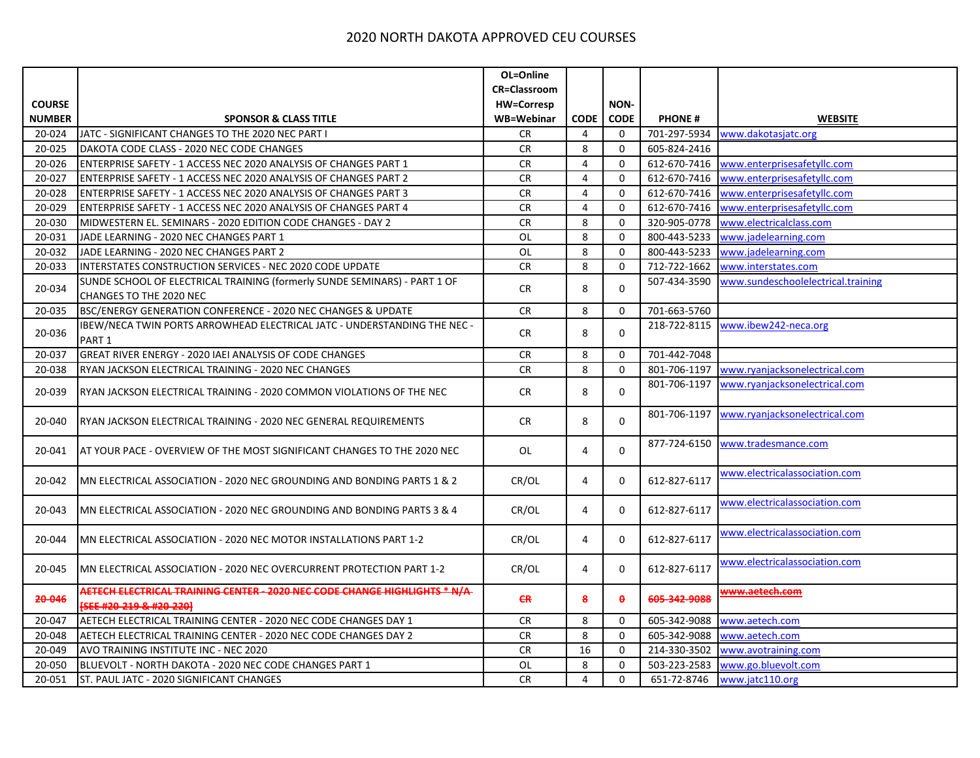|               |                                                                                                      | OL=Online           |                |              |               |                                    |
|---------------|------------------------------------------------------------------------------------------------------|---------------------|----------------|--------------|---------------|------------------------------------|
|               |                                                                                                      | <b>CR=Classroom</b> |                |              |               |                                    |
| <b>COURSE</b> |                                                                                                      | <b>HW=Corresp</b>   |                | NON-         |               |                                    |
| <b>NUMBER</b> | <b>SPONSOR &amp; CLASS TITLE</b>                                                                     | WB=Webinar          | <b>CODE</b>    | <b>CODE</b>  | <b>PHONE#</b> | <b>WEBSITE</b>                     |
| 20-024        | JATC - SIGNIFICANT CHANGES TO THE 2020 NEC PART I                                                    | CR.                 | 4              | 0            | 701-297-5934  | www.dakotasjatc.org                |
| 20-025        | DAKOTA CODE CLASS - 2020 NEC CODE CHANGES                                                            | <b>CR</b>           | 8              | $\mathbf 0$  | 605-824-2416  |                                    |
| 20-026        | ENTERPRISE SAFETY - 1 ACCESS NEC 2020 ANALYSIS OF CHANGES PART 1                                     | <b>CR</b>           | 4              | $\mathbf{0}$ | 612-670-7416  | www.enterprisesafetyllc.com        |
| 20-027        | ENTERPRISE SAFETY - 1 ACCESS NEC 2020 ANALYSIS OF CHANGES PART 2                                     | <b>CR</b>           | $\overline{4}$ | 0            | 612-670-7416  | www.enterprisesafetyllc.com        |
| 20-028        | ENTERPRISE SAFETY - 1 ACCESS NEC 2020 ANALYSIS OF CHANGES PART 3                                     | CR                  | $\overline{4}$ | $\Omega$     | 612-670-7416  | www.enterprisesafetyllc.com        |
| 20-029        | ENTERPRISE SAFETY - 1 ACCESS NEC 2020 ANALYSIS OF CHANGES PART 4                                     | <b>CR</b>           | $\overline{4}$ | $\mathbf 0$  | 612-670-7416  | www.enterprisesafetyllc.com        |
| 20-030        | MIDWESTERN EL. SEMINARS - 2020 EDITION CODE CHANGES - DAY 2                                          | <b>CR</b>           | 8              | $\mathbf 0$  | 320-905-0778  | www.electricalclass.com            |
| 20-031        | JADE LEARNING - 2020 NEC CHANGES PART 1                                                              | $OL$                | 8              | $\mathbf 0$  | 800-443-5233  | www.jadelearning.com               |
| 20-032        | JADE LEARNING - 2020 NEC CHANGES PART 2                                                              | OL                  | 8              | $\mathbf 0$  | 800-443-5233  | www.jadelearning.com               |
| 20-033        | INTERSTATES CONSTRUCTION SERVICES - NEC 2020 CODE UPDATE                                             | CR                  | 8              | $\mathbf 0$  | 712-722-1662  | www.interstates.com                |
| 20-034        | SUNDE SCHOOL OF ELECTRICAL TRAINING (formerly SUNDE SEMINARS) - PART 1 OF                            | <b>CR</b>           | 8              | $\mathbf 0$  | 507-434-3590  | www.sundeschoolelectrical.training |
|               | CHANGES TO THE 2020 NEC                                                                              |                     |                |              |               |                                    |
| 20-035        | BSC/ENERGY GENERATION CONFERENCE - 2020 NEC CHANGES & UPDATE                                         | <b>CR</b>           | 8              | 0            | 701-663-5760  |                                    |
| 20-036        | IBEW/NECA TWIN PORTS ARROWHEAD ELECTRICAL JATC - UNDERSTANDING THE NEC -                             | <b>CR</b>           | 8              | $\Omega$     | 218-722-8115  | www.ibew242-neca.org               |
|               | PART <sub>1</sub>                                                                                    |                     |                |              |               |                                    |
| 20-037        | GREAT RIVER ENERGY - 2020 IAEI ANALYSIS OF CODE CHANGES                                              | <b>CR</b>           | 8              | $\mathbf 0$  | 701-442-7048  |                                    |
| 20-038        | RYAN JACKSON ELECTRICAL TRAINING - 2020 NEC CHANGES                                                  | <b>CR</b>           | 8              | $\mathbf 0$  | 801-706-1197  | www.ryanjacksonelectrical.com      |
| 20-039        | RYAN JACKSON ELECTRICAL TRAINING - 2020 COMMON VIOLATIONS OF THE NEC                                 | CR                  | 8              | $\mathbf 0$  | 801-706-1197  | www.ryanjacksonelectrical.com      |
| 20-040        | RYAN JACKSON ELECTRICAL TRAINING - 2020 NEC GENERAL REQUIREMENTS                                     | <b>CR</b>           | 8              | $\mathbf 0$  | 801-706-1197  | www.ryanjacksonelectrical.com      |
| 20-041        | AT YOUR PACE - OVERVIEW OF THE MOST SIGNIFICANT CHANGES TO THE 2020 NEC                              | OL                  | 4              | $\mathbf 0$  | 877-724-6150  | www.tradesmance.com                |
| 20-042        | MN ELECTRICAL ASSOCIATION - 2020 NEC GROUNDING AND BONDING PARTS 1 & 2                               | CR/OL               | 4              | 0            | 612-827-6117  | www.electricalassociation.com      |
| 20-043        | MN ELECTRICAL ASSOCIATION - 2020 NEC GROUNDING AND BONDING PARTS 3 & 4                               | CR/OL               | 4              | $\Omega$     | 612-827-6117  | www.electricalassociation.com      |
| 20-044        | MN ELECTRICAL ASSOCIATION - 2020 NEC MOTOR INSTALLATIONS PART 1-2                                    | CR/OL               | 4              | $\Omega$     | 612-827-6117  | www.electricalassociation.com      |
| 20-045        | MN ELECTRICAL ASSOCIATION - 2020 NEC OVERCURRENT PROTECTION PART 1-2                                 | CR/OL               | 4              | 0            | 612-827-6117  | www.electricalassociation.com      |
| 20-046        | AETECH ELECTRICAL TRAINING CENTER - 2020 NEC CODE CHANGE HIGHLIGHTS * N/A-<br>SEE #20-219 & #20-2201 | <b>CR</b>           | 8              | $\theta$     | 605-342-9088  | www.aetech.com                     |
| 20-047        | AETECH ELECTRICAL TRAINING CENTER - 2020 NEC CODE CHANGES DAY 1                                      | CR                  | 8              | 0            | 605-342-9088  | www.aetech.com                     |
| 20-048        | AETECH ELECTRICAL TRAINING CENTER - 2020 NEC CODE CHANGES DAY 2                                      | <b>CR</b>           | 8              | $\mathbf 0$  | 605-342-9088  | www.aetech.com                     |
| 20-049        | AVO TRAINING INSTITUTE INC - NEC 2020                                                                | <b>CR</b>           | 16             | $\mathbf 0$  | 214-330-3502  | www.avotraining.com                |
| 20-050        | BLUEVOLT - NORTH DAKOTA - 2020 NEC CODE CHANGES PART 1                                               | OL                  | 8              | 0            | 503-223-2583  | www.go.bluevolt.com                |
| 20-051        | ST. PAUL JATC - 2020 SIGNIFICANT CHANGES                                                             | <b>CR</b>           | $\overline{4}$ | $\Omega$     | 651-72-8746   | www.jatc110.org                    |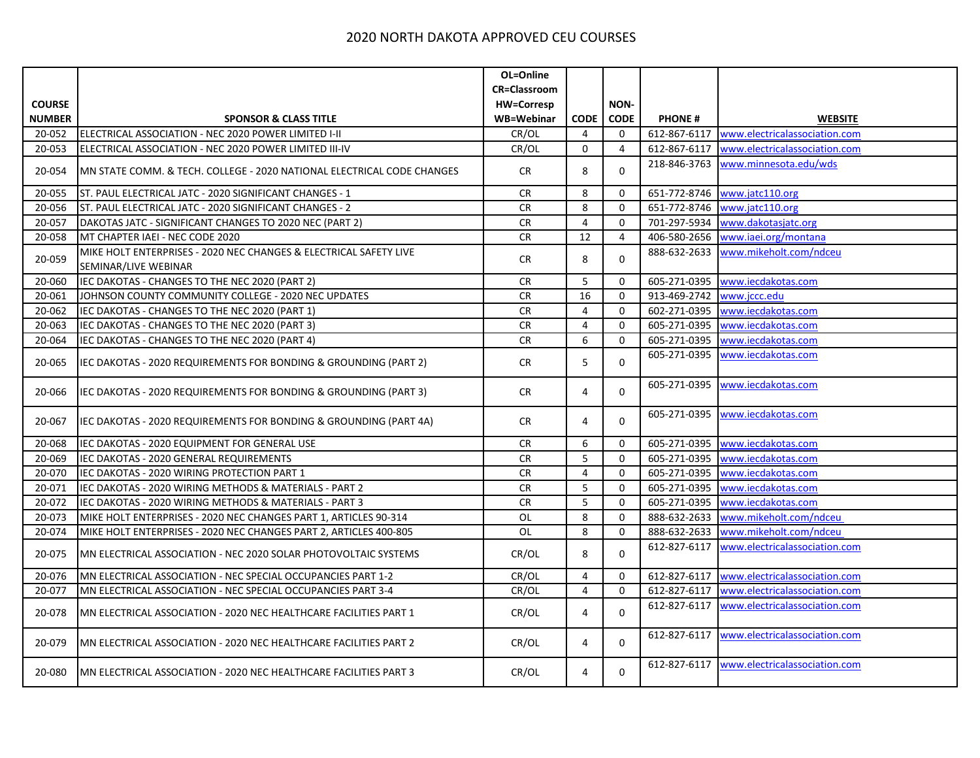|               |                                                                                           | OL=Online           |                |                |               |                               |
|---------------|-------------------------------------------------------------------------------------------|---------------------|----------------|----------------|---------------|-------------------------------|
|               |                                                                                           | <b>CR=Classroom</b> |                |                |               |                               |
| <b>COURSE</b> |                                                                                           | <b>HW=Corresp</b>   |                | <b>NON-</b>    |               |                               |
| <b>NUMBER</b> | <b>SPONSOR &amp; CLASS TITLE</b>                                                          | WB=Webinar          | <b>CODE</b>    | <b>CODE</b>    | <b>PHONE#</b> | <b>WEBSITE</b>                |
| 20-052        | ELECTRICAL ASSOCIATION - NEC 2020 POWER LIMITED I-II                                      | CR/OL               | 4              | $\mathbf{0}$   | 612-867-6117  | www.electricalassociation.com |
| 20-053        | ELECTRICAL ASSOCIATION - NEC 2020 POWER LIMITED III-IV                                    | CR/OL               | $\mathbf 0$    | 4              | 612-867-6117  | www.electricalassociation.com |
| 20-054        | MN STATE COMM. & TECH. COLLEGE - 2020 NATIONAL ELECTRICAL CODE CHANGES                    | <b>CR</b>           | 8              | $\mathbf 0$    | 218-846-3763  | www.minnesota.edu/wds         |
| 20-055        | ST. PAUL ELECTRICAL JATC - 2020 SIGNIFICANT CHANGES - 1                                   | <b>CR</b>           | 8              | 0              | 651-772-8746  | www.jatc110.org               |
| 20-056        | ST. PAUL ELECTRICAL JATC - 2020 SIGNIFICANT CHANGES - 2                                   | <b>CR</b>           | 8              | $\mathbf 0$    | 651-772-8746  | www.jatc110.org               |
| 20-057        | DAKOTAS JATC - SIGNIFICANT CHANGES TO 2020 NEC (PART 2)                                   | <b>CR</b>           | 4              | 0              | 701-297-5934  | www.dakotasjatc.org           |
| 20-058        | MT CHAPTER IAEI - NEC CODE 2020                                                           | <b>CR</b>           | 12             | $\overline{4}$ | 406-580-2656  | www.iaei.org/montana          |
| 20-059        | MIKE HOLT ENTERPRISES - 2020 NEC CHANGES & ELECTRICAL SAFETY LIVE<br>SEMINAR/LIVE WEBINAR | <b>CR</b>           | 8              | $\mathbf 0$    | 888-632-2633  | www.mikeholt.com/ndceu        |
| 20-060        | IEC DAKOTAS - CHANGES TO THE NEC 2020 (PART 2)                                            | ${\sf CR}$          | 5              | $\mathbf 0$    | 605-271-0395  | www.iecdakotas.com            |
| 20-061        | JOHNSON COUNTY COMMUNITY COLLEGE - 2020 NEC UPDATES                                       | CR                  | 16             | 0              | 913-469-2742  | www.jccc.edu                  |
| 20-062        | IEC DAKOTAS - CHANGES TO THE NEC 2020 (PART 1)                                            | ${\sf CR}$          | 4              | $\mathbf 0$    | 602-271-0395  | www.iecdakotas.com            |
| 20-063        | IEC DAKOTAS - CHANGES TO THE NEC 2020 (PART 3)                                            | <b>CR</b>           | $\overline{4}$ | 0              | 605-271-0395  | www.iecdakotas.com            |
| 20-064        | IEC DAKOTAS - CHANGES TO THE NEC 2020 (PART 4)                                            | CR                  | 6              | $\mathbf 0$    | 605-271-0395  | www.iecdakotas.com            |
| 20-065        | IEC DAKOTAS - 2020 REQUIREMENTS FOR BONDING & GROUNDING (PART 2)                          | <b>CR</b>           | 5              | $\mathbf 0$    | 605-271-0395  | www.iecdakotas.com            |
| 20-066        | IEC DAKOTAS - 2020 REQUIREMENTS FOR BONDING & GROUNDING (PART 3)                          | CR                  | 4              | 0              | 605-271-0395  | www.iecdakotas.com            |
| 20-067        | IEC DAKOTAS - 2020 REQUIREMENTS FOR BONDING & GROUNDING (PART 4A)                         | CR                  | 4              | 0              | 605-271-0395  | www.iecdakotas.com            |
| 20-068        | IEC DAKOTAS - 2020 EQUIPMENT FOR GENERAL USE                                              | ${\sf CR}$          | 6              | 0              | 605-271-0395  | www.iecdakotas.com            |
| 20-069        | IEC DAKOTAS - 2020 GENERAL REQUIREMENTS                                                   | <b>CR</b>           | 5              | $\mathbf 0$    | 605-271-0395  | www.iecdakotas.com            |
| 20-070        | IEC DAKOTAS - 2020 WIRING PROTECTION PART 1                                               | ${\sf CR}$          | 4              | 0              | 605-271-0395  | www.iecdakotas.com            |
| 20-071        | IEC DAKOTAS - 2020 WIRING METHODS & MATERIALS - PART 2                                    | <b>CR</b>           | 5              | $\mathbf 0$    | 605-271-0395  | www.iecdakotas.com            |
| 20-072        | IEC DAKOTAS - 2020 WIRING METHODS & MATERIALS - PART 3                                    | CR                  | 5              | $\mathbf 0$    | 605-271-0395  | www.iecdakotas.com            |
| 20-073        | MIKE HOLT ENTERPRISES - 2020 NEC CHANGES PART 1, ARTICLES 90-314                          | OL                  | 8              | $\mathbf 0$    | 888-632-2633  | www.mikeholt.com/ndceu        |
| 20-074        | MIKE HOLT ENTERPRISES - 2020 NEC CHANGES PART 2, ARTICLES 400-805                         | OL                  | 8              | $\mathbf 0$    | 888-632-2633  | www.mikeholt.com/ndceu        |
| 20-075        | MN ELECTRICAL ASSOCIATION - NEC 2020 SOLAR PHOTOVOLTAIC SYSTEMS                           | CR/OL               | 8              | $\Omega$       | 612-827-6117  | www.electricalassociation.com |
| 20-076        | MN ELECTRICAL ASSOCIATION - NEC SPECIAL OCCUPANCIES PART 1-2                              | CR/OL               | 4              | 0              | 612-827-6117  | www.electricalassociation.com |
| 20-077        | MN ELECTRICAL ASSOCIATION - NEC SPECIAL OCCUPANCIES PART 3-4                              | CR/OL               | $\overline{4}$ | $\mathbf 0$    | 612-827-6117  | www.electricalassociation.com |
| 20-078        | MN ELECTRICAL ASSOCIATION - 2020 NEC HEALTHCARE FACILITIES PART 1                         | CR/OL               | 4              | $\mathbf 0$    | 612-827-6117  | www.electricalassociation.com |
| 20-079        | MN ELECTRICAL ASSOCIATION - 2020 NEC HEALTHCARE FACILITIES PART 2                         | CR/OL               | 4              | 0              | 612-827-6117  | www.electricalassociation.com |
| 20-080        | MN ELECTRICAL ASSOCIATION - 2020 NEC HEALTHCARE FACILITIES PART 3                         | CR/OL               | 4              | 0              | 612-827-6117  | www.electricalassociation.com |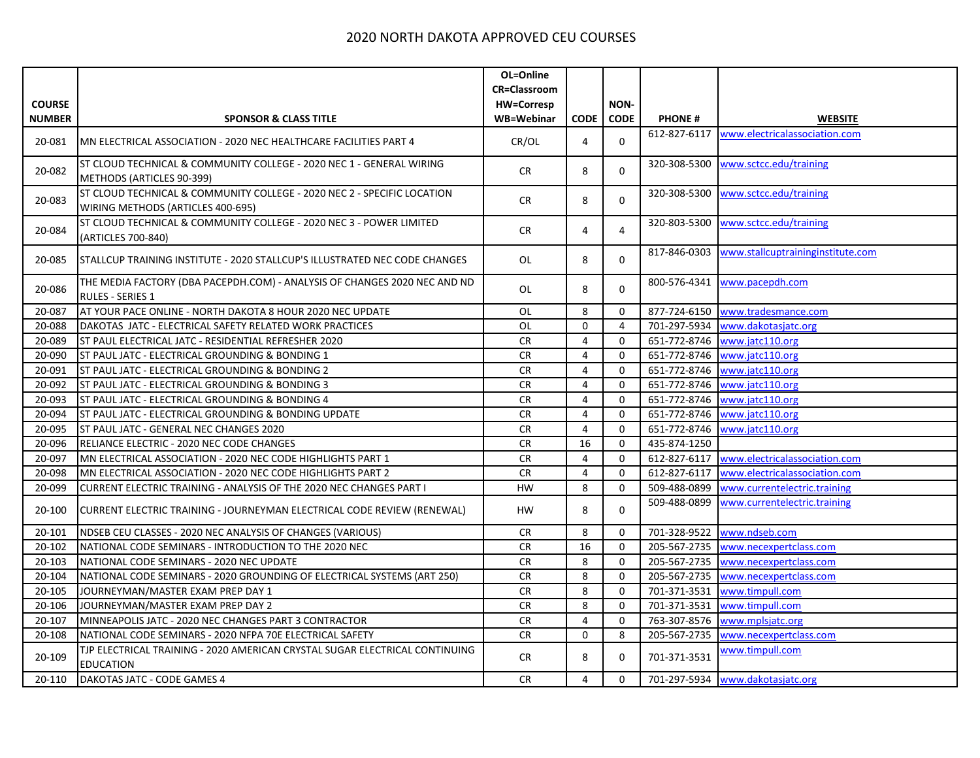|               |                                                                                                              | OL=Online           |                |             |               |                                   |
|---------------|--------------------------------------------------------------------------------------------------------------|---------------------|----------------|-------------|---------------|-----------------------------------|
|               |                                                                                                              | <b>CR=Classroom</b> |                |             |               |                                   |
| <b>COURSE</b> |                                                                                                              | <b>HW=Corresp</b>   |                | NON-        |               |                                   |
| <b>NUMBER</b> | <b>SPONSOR &amp; CLASS TITLE</b>                                                                             | WB=Webinar          | <b>CODE</b>    | <b>CODE</b> | <b>PHONE#</b> | <b>WEBSITE</b>                    |
| 20-081        | MN ELECTRICAL ASSOCIATION - 2020 NEC HEALTHCARE FACILITIES PART 4                                            | CR/OL               | 4              | $\mathbf 0$ | 612-827-6117  | www.electricalassociation.com     |
| 20-082        | ST CLOUD TECHNICAL & COMMUNITY COLLEGE - 2020 NEC 1 - GENERAL WIRING<br>METHODS (ARTICLES 90-399)            | CR                  | 8              | $\Omega$    | 320-308-5300  | www.sctcc.edu/training            |
| 20-083        | ST CLOUD TECHNICAL & COMMUNITY COLLEGE - 2020 NEC 2 - SPECIFIC LOCATION<br>WIRING METHODS (ARTICLES 400-695) | CR                  | 8              | 0           | 320-308-5300  | www.sctcc.edu/training            |
| 20-084        | ST CLOUD TECHNICAL & COMMUNITY COLLEGE - 2020 NEC 3 - POWER LIMITED<br>(ARTICLES 700-840)                    | <b>CR</b>           | 4              | 4           | 320-803-5300  | www.sctcc.edu/training            |
| 20-085        | STALLCUP TRAINING INSTITUTE - 2020 STALLCUP'S ILLUSTRATED NEC CODE CHANGES                                   | OL                  | 8              | $\Omega$    | 817-846-0303  | www.stallcuptraininginstitute.com |
| 20-086        | THE MEDIA FACTORY (DBA PACEPDH.COM) - ANALYSIS OF CHANGES 2020 NEC AND ND<br><b>RULES - SERIES 1</b>         | OL                  | 8              | $\Omega$    | 800-576-4341  | www.pacepdh.com                   |
| 20-087        | AT YOUR PACE ONLINE - NORTH DAKOTA 8 HOUR 2020 NEC UPDATE                                                    | OL                  | 8              | $\Omega$    | 877-724-6150  | www.tradesmance.com               |
| 20-088        | DAKOTAS JATC - ELECTRICAL SAFETY RELATED WORK PRACTICES                                                      | OL                  | $\mathbf 0$    | 4           | 701-297-5934  | www.dakotasjatc.org               |
| 20-089        | ST PAUL ELECTRICAL JATC - RESIDENTIAL REFRESHER 2020                                                         | <b>CR</b>           | $\overline{4}$ | $\mathbf 0$ | 651-772-8746  | www.jatc110.org                   |
| 20-090        | ST PAUL JATC - ELECTRICAL GROUNDING & BONDING 1                                                              | ${\sf CR}$          | 4              | 0           | 651-772-8746  | www.jatc110.org                   |
| 20-091        | ST PAUL JATC - ELECTRICAL GROUNDING & BONDING 2                                                              | <b>CR</b>           | $\overline{4}$ | $\mathbf 0$ | 651-772-8746  | www.jatc110.org                   |
| 20-092        | ST PAUL JATC - ELECTRICAL GROUNDING & BONDING 3                                                              | CR                  | $\overline{4}$ | $\Omega$    | 651-772-8746  | www.jatc110.org                   |
| 20-093        | ST PAUL JATC - ELECTRICAL GROUNDING & BONDING 4                                                              | CR                  | $\overline{4}$ | $\mathbf 0$ | 651-772-8746  | www.jatc110.org                   |
| 20-094        | ST PAUL JATC - ELECTRICAL GROUNDING & BONDING UPDATE                                                         | <b>CR</b>           | $\overline{4}$ | $\mathbf 0$ | 651-772-8746  | www.jatc110.org                   |
| 20-095        | ST PAUL JATC - GENERAL NEC CHANGES 2020                                                                      | CR                  | 4              | $\mathbf 0$ | 651-772-8746  | www.jatc110.org                   |
| 20-096        | RELIANCE ELECTRIC - 2020 NEC CODE CHANGES                                                                    | <b>CR</b>           | 16             | 0           | 435-874-1250  |                                   |
| 20-097        | MN ELECTRICAL ASSOCIATION - 2020 NEC CODE HIGHLIGHTS PART 1                                                  | <b>CR</b>           | 4              | $\Omega$    | 612-827-6117  | www.electricalassociation.com     |
| 20-098        | MN ELECTRICAL ASSOCIATION - 2020 NEC CODE HIGHLIGHTS PART 2                                                  | <b>CR</b>           | 4              | $\mathbf 0$ | 612-827-6117  | www.electricalassociation.com     |
| 20-099        | CURRENT ELECTRIC TRAINING - ANALYSIS OF THE 2020 NEC CHANGES PART I                                          | <b>HW</b>           | 8              | $\mathbf 0$ | 509-488-0899  | www.currentelectric.training      |
| 20-100        | CURRENT ELECTRIC TRAINING - JOURNEYMAN ELECTRICAL CODE REVIEW (RENEWAL)                                      | HW.                 | 8              | $\Omega$    | 509-488-0899  | www.currentelectric.training      |
| 20-101        | NDSEB CEU CLASSES - 2020 NEC ANALYSIS OF CHANGES (VARIOUS)                                                   | <b>CR</b>           | 8              | $\mathbf 0$ | 701-328-9522  | www.ndseb.com                     |
| 20-102        | NATIONAL CODE SEMINARS - INTRODUCTION TO THE 2020 NEC                                                        | <b>CR</b>           | 16             | $\mathbf 0$ | 205-567-2735  | www.necexpertclass.com            |
| 20-103        | NATIONAL CODE SEMINARS - 2020 NEC UPDATE                                                                     | <b>CR</b>           | 8              | $\mathbf 0$ | 205-567-2735  | www.necexpertclass.com            |
| 20-104        | NATIONAL CODE SEMINARS - 2020 GROUNDING OF ELECTRICAL SYSTEMS (ART 250)                                      | CR                  | 8              | 0           | 205-567-2735  | www.necexpertclass.com            |
| 20-105        | JOURNEYMAN/MASTER EXAM PREP DAY 1                                                                            | <b>CR</b>           | 8              | $\mathbf 0$ | 701-371-3531  | www.timpull.com                   |
| 20-106        | JOURNEYMAN/MASTER EXAM PREP DAY 2                                                                            | <b>CR</b>           | 8              | $\mathbf 0$ | 701-371-3531  | www.timpull.com                   |
| 20-107        | MINNEAPOLIS JATC - 2020 NEC CHANGES PART 3 CONTRACTOR                                                        | <b>CR</b>           | 4              | $\mathbf 0$ | 763-307-8576  | www.mplsjatc.org                  |
| 20-108        | NATIONAL CODE SEMINARS - 2020 NFPA 70E ELECTRICAL SAFETY                                                     | <b>CR</b>           | $\Omega$       | 8           | 205-567-2735  | www.necexpertclass.com            |
| 20-109        | TJP ELECTRICAL TRAINING - 2020 AMERICAN CRYSTAL SUGAR ELECTRICAL CONTINUING<br><b>EDUCATION</b>              | CR                  | 8              | 0           | 701-371-3531  | www.timpull.com                   |
| 20-110        | DAKOTAS JATC - CODE GAMES 4                                                                                  | <b>CR</b>           | 4              | $\Omega$    | 701-297-5934  | www.dakotasjatc.org               |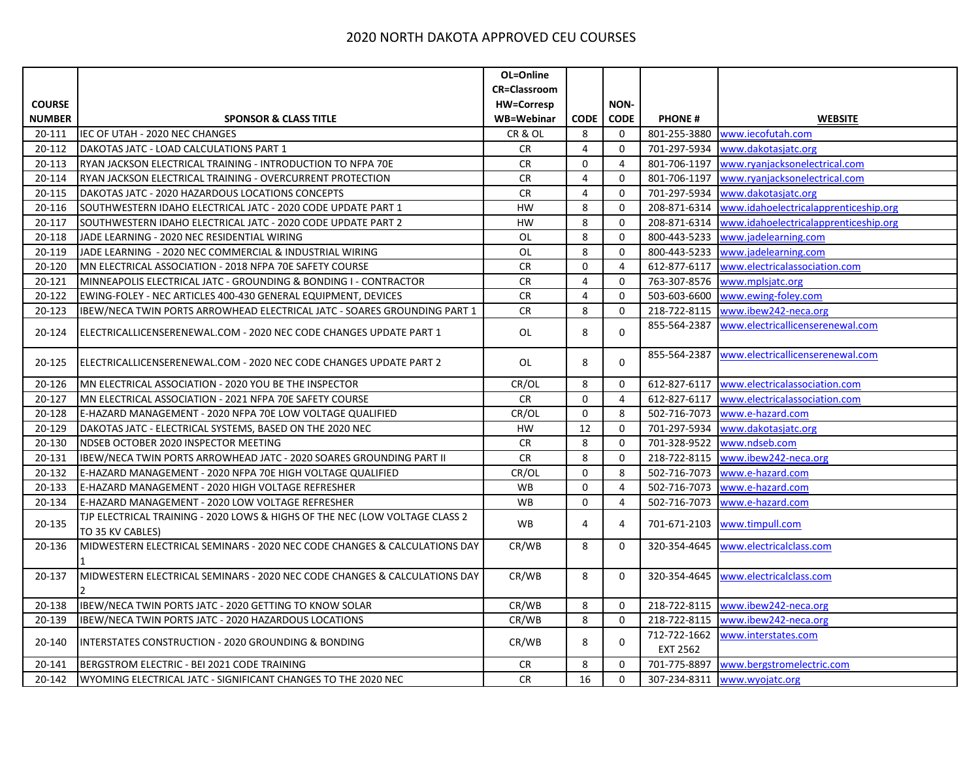|               |                                                                                                 | OL=Online           |                |                     |                          |                                       |
|---------------|-------------------------------------------------------------------------------------------------|---------------------|----------------|---------------------|--------------------------|---------------------------------------|
|               |                                                                                                 | <b>CR=Classroom</b> |                |                     |                          |                                       |
| <b>COURSE</b> |                                                                                                 | <b>HW=Corresp</b>   |                | NON-                |                          |                                       |
| <b>NUMBER</b> | <b>SPONSOR &amp; CLASS TITLE</b>                                                                | WB=Webinar          | <b>CODE</b>    | <b>CODE</b>         | <b>PHONE#</b>            | <b>WEBSITE</b>                        |
| 20-111        | IEC OF UTAH - 2020 NEC CHANGES                                                                  | CR&OL               | 8              | $\mathbf 0$         | 801-255-3880             | www.iecofutah.com                     |
| 20-112        | DAKOTAS JATC - LOAD CALCULATIONS PART 1                                                         | <b>CR</b>           | 4              | $\mathbf 0$         | 701-297-5934             | www.dakotasjatc.org                   |
| 20-113        | RYAN JACKSON ELECTRICAL TRAINING - INTRODUCTION TO NFPA 70E                                     | <b>CR</b>           | $\mathbf 0$    | $\overline{4}$      | 801-706-1197             | www.ryanjacksonelectrical.com         |
| 20-114        | RYAN JACKSON ELECTRICAL TRAINING - OVERCURRENT PROTECTION                                       | <b>CR</b>           | 4              | $\mathbf 0$         | 801-706-1197             | www.ryanjacksonelectrical.com         |
| 20-115        | DAKOTAS JATC - 2020 HAZARDOUS LOCATIONS CONCEPTS                                                | <b>CR</b>           | $\overline{4}$ | $\mathbf 0$         | 701-297-5934             | www.dakotasjatc.org                   |
| 20-116        | SOUTHWESTERN IDAHO ELECTRICAL JATC - 2020 CODE UPDATE PART 1                                    | HW                  | 8              | $\mathsf 0$         | 208-871-6314             | www.idahoelectricalapprenticeship.org |
| 20-117        | SOUTHWESTERN IDAHO ELECTRICAL JATC - 2020 CODE UPDATE PART 2                                    | HW                  | 8              | $\mathbf 0$         | 208-871-6314             | www.idahoelectricalapprenticeship.org |
| 20-118        | JADE LEARNING - 2020 NEC RESIDENTIAL WIRING                                                     | <b>OL</b>           | 8              | $\mathsf{O}\xspace$ | 800-443-5233             | www.jadelearning.com                  |
| 20-119        | JADE LEARNING - 2020 NEC COMMERCIAL & INDUSTRIAL WIRING                                         | <b>OL</b>           | 8              | 0                   | 800-443-5233             | www.jadelearning.com                  |
| 20-120        | MN ELECTRICAL ASSOCIATION - 2018 NFPA 70E SAFETY COURSE                                         | <b>CR</b>           | 0              | $\overline{4}$      | 612-877-6117             | www.electricalassociation.com         |
| 20-121        | MINNEAPOLIS ELECTRICAL JATC - GROUNDING & BONDING I - CONTRACTOR                                | <b>CR</b>           | $\overline{4}$ | $\mathbf 0$         | 763-307-8576             | www.mplsjatc.org                      |
| 20-122        | EWING-FOLEY - NEC ARTICLES 400-430 GENERAL EQUIPMENT, DEVICES                                   | <b>CR</b>           | 4              | 0                   | 503-603-6600             | www.ewing-foley.com                   |
| 20-123        | IBEW/NECA TWIN PORTS ARROWHEAD ELECTRICAL JATC - SOARES GROUNDING PART 1                        | <b>CR</b>           | 8              | 0                   | 218-722-8115             | www.ibew242-neca.org                  |
| 20-124        | ELECTRICALLICENSERENEWAL.COM - 2020 NEC CODE CHANGES UPDATE PART 1                              | OL                  | 8              | $\mathbf 0$         | 855-564-2387             | www.electricallicenserenewal.com      |
| 20-125        | ELECTRICALLICENSERENEWAL.COM - 2020 NEC CODE CHANGES UPDATE PART 2                              | OL                  | 8              | $\mathbf 0$         | 855-564-2387             | www.electricallicenserenewal.com      |
| 20-126        | MN ELECTRICAL ASSOCIATION - 2020 YOU BE THE INSPECTOR                                           | CR/OL               | 8              | $\mathbf 0$         | 612-827-6117             | www.electricalassociation.com         |
| 20-127        | MN ELECTRICAL ASSOCIATION - 2021 NFPA 70E SAFETY COURSE                                         | <b>CR</b>           | $\mathbf 0$    | $\overline{4}$      | 612-827-6117             | www.electricalassociation.com         |
| 20-128        | E-HAZARD MANAGEMENT - 2020 NFPA 70E LOW VOLTAGE QUALIFIED                                       | CR/OL               | $\pmb{0}$      | 8                   | 502-716-7073             | www.e-hazard.com                      |
| 20-129        | DAKOTAS JATC - ELECTRICAL SYSTEMS, BASED ON THE 2020 NEC                                        | HW                  | 12             | $\mathbf 0$         | 701-297-5934             | www.dakotasjatc.org                   |
| 20-130        | NDSEB OCTOBER 2020 INSPECTOR MEETING                                                            | <b>CR</b>           | 8              | $\mathbf 0$         | 701-328-9522             | www.ndseb.com                         |
| 20-131        | IBEW/NECA TWIN PORTS ARROWHEAD JATC - 2020 SOARES GROUNDING PART II                             | <b>CR</b>           | 8              | $\mathbf 0$         | 218-722-8115             | www.ibew242-neca.org                  |
| 20-132        | E-HAZARD MANAGEMENT - 2020 NFPA 70E HIGH VOLTAGE QUALIFIED                                      | CR/OL               | 0              | 8                   | 502-716-7073             | www.e-hazard.com                      |
| 20-133        | E-HAZARD MANAGEMENT - 2020 HIGH VOLTAGE REFRESHER                                               | WB                  | 0              | 4                   | 502-716-7073             | www.e-hazard.com                      |
| 20-134        | E-HAZARD MANAGEMENT - 2020 LOW VOLTAGE REFRESHER                                                | WB                  | 0              | $\overline{4}$      | 502-716-7073             | www.e-hazard.com                      |
| 20-135        | TJP ELECTRICAL TRAINING - 2020 LOWS & HIGHS OF THE NEC (LOW VOLTAGE CLASS 2<br>TO 35 KV CABLES) | WB                  | 4              | 4                   | 701-671-2103             | www.timpull.com                       |
| 20-136        | MIDWESTERN ELECTRICAL SEMINARS - 2020 NEC CODE CHANGES & CALCULATIONS DAY                       | CR/WB               | 8              | 0                   | 320-354-4645             | www.electricalclass.com               |
| 20-137        | MIDWESTERN ELECTRICAL SEMINARS - 2020 NEC CODE CHANGES & CALCULATIONS DAY                       | CR/WB               | 8              | 0                   | 320-354-4645             | www.electricalclass.com               |
| 20-138        | IBEW/NECA TWIN PORTS JATC - 2020 GETTING TO KNOW SOLAR                                          | CR/WB               | 8              | 0                   | 218-722-8115             | www.ibew242-neca.org                  |
| 20-139        | IBEW/NECA TWIN PORTS JATC - 2020 HAZARDOUS LOCATIONS                                            | CR/WB               | 8              | $\mathbf 0$         | 218-722-8115             | www.ibew242-neca.org                  |
| 20-140        | INTERSTATES CONSTRUCTION - 2020 GROUNDING & BONDING                                             | CR/WB               | 8              | $\mathbf 0$         | 712-722-1662<br>EXT 2562 | www.interstates.com                   |
| 20-141        | BERGSTROM ELECTRIC - BEI 2021 CODE TRAINING                                                     | CR.                 | 8              | 0                   | 701-775-8897             | www.bergstromelectric.com             |
| 20-142        | WYOMING ELECTRICAL JATC - SIGNIFICANT CHANGES TO THE 2020 NEC                                   | <b>CR</b>           | 16             | $\mathbf 0$         | 307-234-8311             | www.wyojatc.org                       |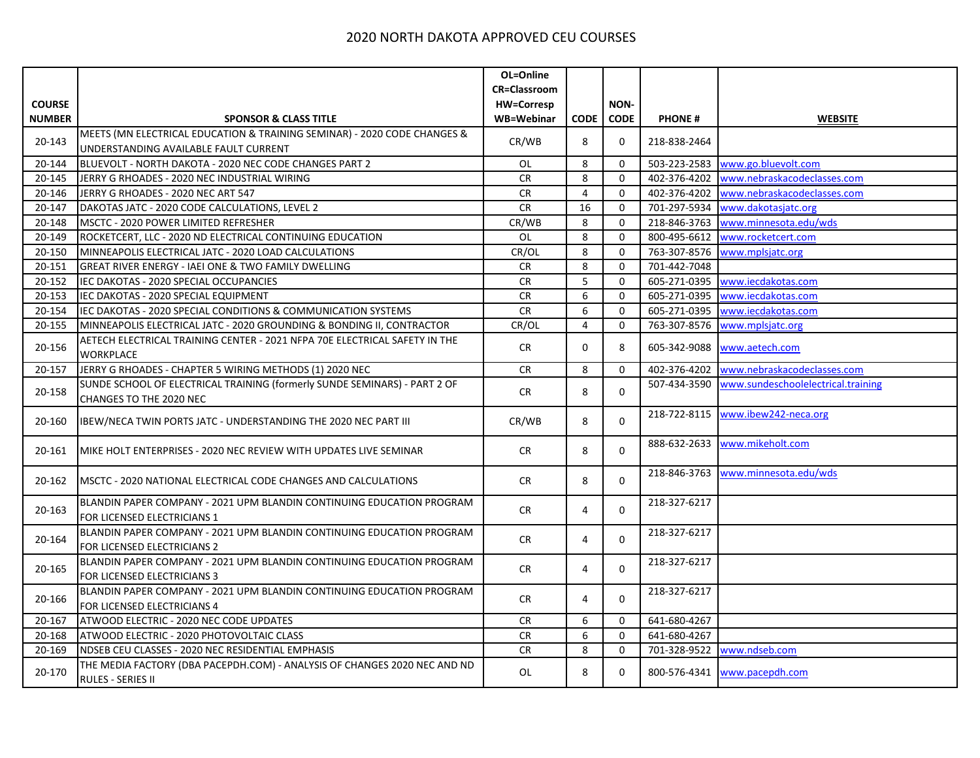| <b>CR=Classroom</b><br><b>COURSE</b><br>NON-<br><b>HW=Corresp</b><br><b>NUMBER</b><br><b>SPONSOR &amp; CLASS TITLE</b><br>WB=Webinar<br><b>CODE</b><br><b>CODE</b><br><b>PHONE#</b><br><b>WEBSITE</b><br>MEETS (MN ELECTRICAL EDUCATION & TRAINING SEMINAR) - 2020 CODE CHANGES &<br>CR/WB<br>20-143<br>8<br>0<br>218-838-2464<br>UNDERSTANDING AVAILABLE FAULT CURRENT<br>8<br>BLUEVOLT - NORTH DAKOTA - 2020 NEC CODE CHANGES PART 2<br>OL<br>$\mathbf 0$<br>503-223-2583<br>www.go.bluevolt.com<br>20-144<br>8<br>402-376-4202<br>20-145<br>JERRY G RHOADES - 2020 NEC INDUSTRIAL WIRING<br><b>CR</b><br>$\Omega$<br>www.nebraskacodeclasses.com<br>JERRY G RHOADES - 2020 NEC ART 547<br><b>CR</b><br>4<br>$\mathbf 0$<br>402-376-4202<br>www.nebraskacodeclasses.com<br>20-146<br>16<br>20-147<br>DAKOTAS JATC - 2020 CODE CALCULATIONS, LEVEL 2<br>CR<br>$\mathbf 0$<br>701-297-5934<br>www.dakotasjatc.org<br>MSCTC - 2020 POWER LIMITED REFRESHER<br>CR/WB<br>8<br>$\mathbf 0$<br>218-846-3763<br>20-148<br>www.minnesota.edu/wds<br>ROCKETCERT, LLC - 2020 ND ELECTRICAL CONTINUING EDUCATION<br>8<br>800-495-6612<br>20-149<br>OL<br>$\Omega$<br>www.rocketcert.com<br>MINNEAPOLIS ELECTRICAL JATC - 2020 LOAD CALCULATIONS<br>CR/OL<br>8<br>763-307-8576<br>20-150<br>$\Omega$<br>www.mplsjatc.org<br>8<br>20-151<br><b>GREAT RIVER ENERGY - IAEI ONE &amp; TWO FAMILY DWELLING</b><br><b>CR</b><br>$\mathbf 0$<br>701-442-7048<br>5<br>www.iecdakotas.com<br>20-152<br>IEC DAKOTAS - 2020 SPECIAL OCCUPANCIES<br><b>CR</b><br>$\mathbf 0$<br>605-271-0395<br>6<br><b>CR</b><br>$\mathbf 0$<br>605-271-0395<br>20-153<br>IEC DAKOTAS - 2020 SPECIAL EQUIPMENT<br>www.iecdakotas.com<br>6<br>www.iecdakotas.com<br>20-154<br>IEC DAKOTAS - 2020 SPECIAL CONDITIONS & COMMUNICATION SYSTEMS<br><b>CR</b><br>$\Omega$<br>605-271-0395<br>4<br>20-155<br>MINNEAPOLIS ELECTRICAL JATC - 2020 GROUNDING & BONDING II, CONTRACTOR<br>CR/OL<br>$\mathbf 0$<br>763-307-8576<br>www.mplsjatc.org<br>AETECH ELECTRICAL TRAINING CENTER - 2021 NFPA 70E ELECTRICAL SAFETY IN THE<br>20-156<br><b>CR</b><br>$\Omega$<br>8<br>605-342-9088<br>www.aetech.com<br>WORKPLACE<br>JERRY G RHOADES - CHAPTER 5 WIRING METHODS (1) 2020 NEC<br>8<br>402-376-4202<br>www.nebraskacodeclasses.com<br>20-157<br><b>CR</b><br>0<br>SUNDE SCHOOL OF ELECTRICAL TRAINING (formerly SUNDE SEMINARS) - PART 2 OF<br>www.sundeschoolelectrical.training<br>507-434-3590<br>20-158<br>8<br><b>CR</b><br>$\Omega$<br>CHANGES TO THE 2020 NEC<br>www.ibew242-neca.org<br>218-722-8115<br>8<br>IBEW/NECA TWIN PORTS JATC - UNDERSTANDING THE 2020 NEC PART III<br>CR/WB<br>$\Omega$<br>20-160<br>www.mikeholt.com<br>888-632-2633<br>8<br>20-161<br>MIKE HOLT ENTERPRISES - 2020 NEC REVIEW WITH UPDATES LIVE SEMINAR<br>CR<br>$\Omega$<br>www.minnesota.edu/wds<br>218-846-3763<br>8<br><b>CR</b><br>$\Omega$<br>20-162<br>IMSCTC - 2020 NATIONAL ELECTRICAL CODE CHANGES AND CALCULATIONS<br>218-327-6217<br>BLANDIN PAPER COMPANY - 2021 UPM BLANDIN CONTINUING EDUCATION PROGRAM<br>20-163<br><b>CR</b><br>4<br>0<br>FOR LICENSED ELECTRICIANS 1<br>BLANDIN PAPER COMPANY - 2021 UPM BLANDIN CONTINUING EDUCATION PROGRAM<br>218-327-6217<br>20-164<br><b>CR</b><br>$\Omega$<br>4<br>FOR LICENSED ELECTRICIANS 2<br>BLANDIN PAPER COMPANY - 2021 UPM BLANDIN CONTINUING EDUCATION PROGRAM<br>218-327-6217<br>0<br>20-165<br><b>CR</b><br>4<br>FOR LICENSED ELECTRICIANS 3<br>BLANDIN PAPER COMPANY - 2021 UPM BLANDIN CONTINUING EDUCATION PROGRAM<br>218-327-6217<br>20-166<br><b>CR</b><br>$\overline{4}$<br>$\Omega$<br>FOR LICENSED ELECTRICIANS 4<br>6<br>641-680-4267<br>20-167<br>ATWOOD ELECTRIC - 2020 NEC CODE UPDATES<br>CR<br>0<br>ATWOOD ELECTRIC - 2020 PHOTOVOLTAIC CLASS<br>6<br>$\mathbf 0$<br>641-680-4267<br>20-168<br><b>CR</b><br>8<br>20-169<br>NDSEB CEU CLASSES - 2020 NEC RESIDENTIAL EMPHASIS<br><b>CR</b><br>0<br>701-328-9522<br>www.ndseb.com<br>THE MEDIA FACTORY (DBA PACEPDH.COM) - ANALYSIS OF CHANGES 2020 NEC AND ND<br>8<br>20-170<br>OL<br>800-576-4341   www.pacepdh.com<br>0<br><b>RULES - SERIES II</b> |  | OL=Online |  |  |
|------------------------------------------------------------------------------------------------------------------------------------------------------------------------------------------------------------------------------------------------------------------------------------------------------------------------------------------------------------------------------------------------------------------------------------------------------------------------------------------------------------------------------------------------------------------------------------------------------------------------------------------------------------------------------------------------------------------------------------------------------------------------------------------------------------------------------------------------------------------------------------------------------------------------------------------------------------------------------------------------------------------------------------------------------------------------------------------------------------------------------------------------------------------------------------------------------------------------------------------------------------------------------------------------------------------------------------------------------------------------------------------------------------------------------------------------------------------------------------------------------------------------------------------------------------------------------------------------------------------------------------------------------------------------------------------------------------------------------------------------------------------------------------------------------------------------------------------------------------------------------------------------------------------------------------------------------------------------------------------------------------------------------------------------------------------------------------------------------------------------------------------------------------------------------------------------------------------------------------------------------------------------------------------------------------------------------------------------------------------------------------------------------------------------------------------------------------------------------------------------------------------------------------------------------------------------------------------------------------------------------------------------------------------------------------------------------------------------------------------------------------------------------------------------------------------------------------------------------------------------------------------------------------------------------------------------------------------------------------------------------------------------------------------------------------------------------------------------------------------------------------------------------------------------------------------------------------------------------------------------------------------------------------------------------------------------------------------------------------------------------------------------------------------------------------------------------------------------------------------------------------------------------------------------------------------------------------------------------------------------------------------------------------------------------------------------------------------------------------------------------------------------------------------------------------------------------------------------------------------------------------------------------------------------------------------------------------------------------------------------------------------------------------------------------------------------------------------------------------------------------|--|-----------|--|--|
|                                                                                                                                                                                                                                                                                                                                                                                                                                                                                                                                                                                                                                                                                                                                                                                                                                                                                                                                                                                                                                                                                                                                                                                                                                                                                                                                                                                                                                                                                                                                                                                                                                                                                                                                                                                                                                                                                                                                                                                                                                                                                                                                                                                                                                                                                                                                                                                                                                                                                                                                                                                                                                                                                                                                                                                                                                                                                                                                                                                                                                                                                                                                                                                                                                                                                                                                                                                                                                                                                                                                                                                                                                                                                                                                                                                                                                                                                                                                                                                                                                                                                                                              |  |           |  |  |
|                                                                                                                                                                                                                                                                                                                                                                                                                                                                                                                                                                                                                                                                                                                                                                                                                                                                                                                                                                                                                                                                                                                                                                                                                                                                                                                                                                                                                                                                                                                                                                                                                                                                                                                                                                                                                                                                                                                                                                                                                                                                                                                                                                                                                                                                                                                                                                                                                                                                                                                                                                                                                                                                                                                                                                                                                                                                                                                                                                                                                                                                                                                                                                                                                                                                                                                                                                                                                                                                                                                                                                                                                                                                                                                                                                                                                                                                                                                                                                                                                                                                                                                              |  |           |  |  |
|                                                                                                                                                                                                                                                                                                                                                                                                                                                                                                                                                                                                                                                                                                                                                                                                                                                                                                                                                                                                                                                                                                                                                                                                                                                                                                                                                                                                                                                                                                                                                                                                                                                                                                                                                                                                                                                                                                                                                                                                                                                                                                                                                                                                                                                                                                                                                                                                                                                                                                                                                                                                                                                                                                                                                                                                                                                                                                                                                                                                                                                                                                                                                                                                                                                                                                                                                                                                                                                                                                                                                                                                                                                                                                                                                                                                                                                                                                                                                                                                                                                                                                                              |  |           |  |  |
|                                                                                                                                                                                                                                                                                                                                                                                                                                                                                                                                                                                                                                                                                                                                                                                                                                                                                                                                                                                                                                                                                                                                                                                                                                                                                                                                                                                                                                                                                                                                                                                                                                                                                                                                                                                                                                                                                                                                                                                                                                                                                                                                                                                                                                                                                                                                                                                                                                                                                                                                                                                                                                                                                                                                                                                                                                                                                                                                                                                                                                                                                                                                                                                                                                                                                                                                                                                                                                                                                                                                                                                                                                                                                                                                                                                                                                                                                                                                                                                                                                                                                                                              |  |           |  |  |
|                                                                                                                                                                                                                                                                                                                                                                                                                                                                                                                                                                                                                                                                                                                                                                                                                                                                                                                                                                                                                                                                                                                                                                                                                                                                                                                                                                                                                                                                                                                                                                                                                                                                                                                                                                                                                                                                                                                                                                                                                                                                                                                                                                                                                                                                                                                                                                                                                                                                                                                                                                                                                                                                                                                                                                                                                                                                                                                                                                                                                                                                                                                                                                                                                                                                                                                                                                                                                                                                                                                                                                                                                                                                                                                                                                                                                                                                                                                                                                                                                                                                                                                              |  |           |  |  |
|                                                                                                                                                                                                                                                                                                                                                                                                                                                                                                                                                                                                                                                                                                                                                                                                                                                                                                                                                                                                                                                                                                                                                                                                                                                                                                                                                                                                                                                                                                                                                                                                                                                                                                                                                                                                                                                                                                                                                                                                                                                                                                                                                                                                                                                                                                                                                                                                                                                                                                                                                                                                                                                                                                                                                                                                                                                                                                                                                                                                                                                                                                                                                                                                                                                                                                                                                                                                                                                                                                                                                                                                                                                                                                                                                                                                                                                                                                                                                                                                                                                                                                                              |  |           |  |  |
|                                                                                                                                                                                                                                                                                                                                                                                                                                                                                                                                                                                                                                                                                                                                                                                                                                                                                                                                                                                                                                                                                                                                                                                                                                                                                                                                                                                                                                                                                                                                                                                                                                                                                                                                                                                                                                                                                                                                                                                                                                                                                                                                                                                                                                                                                                                                                                                                                                                                                                                                                                                                                                                                                                                                                                                                                                                                                                                                                                                                                                                                                                                                                                                                                                                                                                                                                                                                                                                                                                                                                                                                                                                                                                                                                                                                                                                                                                                                                                                                                                                                                                                              |  |           |  |  |
|                                                                                                                                                                                                                                                                                                                                                                                                                                                                                                                                                                                                                                                                                                                                                                                                                                                                                                                                                                                                                                                                                                                                                                                                                                                                                                                                                                                                                                                                                                                                                                                                                                                                                                                                                                                                                                                                                                                                                                                                                                                                                                                                                                                                                                                                                                                                                                                                                                                                                                                                                                                                                                                                                                                                                                                                                                                                                                                                                                                                                                                                                                                                                                                                                                                                                                                                                                                                                                                                                                                                                                                                                                                                                                                                                                                                                                                                                                                                                                                                                                                                                                                              |  |           |  |  |
|                                                                                                                                                                                                                                                                                                                                                                                                                                                                                                                                                                                                                                                                                                                                                                                                                                                                                                                                                                                                                                                                                                                                                                                                                                                                                                                                                                                                                                                                                                                                                                                                                                                                                                                                                                                                                                                                                                                                                                                                                                                                                                                                                                                                                                                                                                                                                                                                                                                                                                                                                                                                                                                                                                                                                                                                                                                                                                                                                                                                                                                                                                                                                                                                                                                                                                                                                                                                                                                                                                                                                                                                                                                                                                                                                                                                                                                                                                                                                                                                                                                                                                                              |  |           |  |  |
|                                                                                                                                                                                                                                                                                                                                                                                                                                                                                                                                                                                                                                                                                                                                                                                                                                                                                                                                                                                                                                                                                                                                                                                                                                                                                                                                                                                                                                                                                                                                                                                                                                                                                                                                                                                                                                                                                                                                                                                                                                                                                                                                                                                                                                                                                                                                                                                                                                                                                                                                                                                                                                                                                                                                                                                                                                                                                                                                                                                                                                                                                                                                                                                                                                                                                                                                                                                                                                                                                                                                                                                                                                                                                                                                                                                                                                                                                                                                                                                                                                                                                                                              |  |           |  |  |
|                                                                                                                                                                                                                                                                                                                                                                                                                                                                                                                                                                                                                                                                                                                                                                                                                                                                                                                                                                                                                                                                                                                                                                                                                                                                                                                                                                                                                                                                                                                                                                                                                                                                                                                                                                                                                                                                                                                                                                                                                                                                                                                                                                                                                                                                                                                                                                                                                                                                                                                                                                                                                                                                                                                                                                                                                                                                                                                                                                                                                                                                                                                                                                                                                                                                                                                                                                                                                                                                                                                                                                                                                                                                                                                                                                                                                                                                                                                                                                                                                                                                                                                              |  |           |  |  |
|                                                                                                                                                                                                                                                                                                                                                                                                                                                                                                                                                                                                                                                                                                                                                                                                                                                                                                                                                                                                                                                                                                                                                                                                                                                                                                                                                                                                                                                                                                                                                                                                                                                                                                                                                                                                                                                                                                                                                                                                                                                                                                                                                                                                                                                                                                                                                                                                                                                                                                                                                                                                                                                                                                                                                                                                                                                                                                                                                                                                                                                                                                                                                                                                                                                                                                                                                                                                                                                                                                                                                                                                                                                                                                                                                                                                                                                                                                                                                                                                                                                                                                                              |  |           |  |  |
|                                                                                                                                                                                                                                                                                                                                                                                                                                                                                                                                                                                                                                                                                                                                                                                                                                                                                                                                                                                                                                                                                                                                                                                                                                                                                                                                                                                                                                                                                                                                                                                                                                                                                                                                                                                                                                                                                                                                                                                                                                                                                                                                                                                                                                                                                                                                                                                                                                                                                                                                                                                                                                                                                                                                                                                                                                                                                                                                                                                                                                                                                                                                                                                                                                                                                                                                                                                                                                                                                                                                                                                                                                                                                                                                                                                                                                                                                                                                                                                                                                                                                                                              |  |           |  |  |
|                                                                                                                                                                                                                                                                                                                                                                                                                                                                                                                                                                                                                                                                                                                                                                                                                                                                                                                                                                                                                                                                                                                                                                                                                                                                                                                                                                                                                                                                                                                                                                                                                                                                                                                                                                                                                                                                                                                                                                                                                                                                                                                                                                                                                                                                                                                                                                                                                                                                                                                                                                                                                                                                                                                                                                                                                                                                                                                                                                                                                                                                                                                                                                                                                                                                                                                                                                                                                                                                                                                                                                                                                                                                                                                                                                                                                                                                                                                                                                                                                                                                                                                              |  |           |  |  |
|                                                                                                                                                                                                                                                                                                                                                                                                                                                                                                                                                                                                                                                                                                                                                                                                                                                                                                                                                                                                                                                                                                                                                                                                                                                                                                                                                                                                                                                                                                                                                                                                                                                                                                                                                                                                                                                                                                                                                                                                                                                                                                                                                                                                                                                                                                                                                                                                                                                                                                                                                                                                                                                                                                                                                                                                                                                                                                                                                                                                                                                                                                                                                                                                                                                                                                                                                                                                                                                                                                                                                                                                                                                                                                                                                                                                                                                                                                                                                                                                                                                                                                                              |  |           |  |  |
|                                                                                                                                                                                                                                                                                                                                                                                                                                                                                                                                                                                                                                                                                                                                                                                                                                                                                                                                                                                                                                                                                                                                                                                                                                                                                                                                                                                                                                                                                                                                                                                                                                                                                                                                                                                                                                                                                                                                                                                                                                                                                                                                                                                                                                                                                                                                                                                                                                                                                                                                                                                                                                                                                                                                                                                                                                                                                                                                                                                                                                                                                                                                                                                                                                                                                                                                                                                                                                                                                                                                                                                                                                                                                                                                                                                                                                                                                                                                                                                                                                                                                                                              |  |           |  |  |
|                                                                                                                                                                                                                                                                                                                                                                                                                                                                                                                                                                                                                                                                                                                                                                                                                                                                                                                                                                                                                                                                                                                                                                                                                                                                                                                                                                                                                                                                                                                                                                                                                                                                                                                                                                                                                                                                                                                                                                                                                                                                                                                                                                                                                                                                                                                                                                                                                                                                                                                                                                                                                                                                                                                                                                                                                                                                                                                                                                                                                                                                                                                                                                                                                                                                                                                                                                                                                                                                                                                                                                                                                                                                                                                                                                                                                                                                                                                                                                                                                                                                                                                              |  |           |  |  |
|                                                                                                                                                                                                                                                                                                                                                                                                                                                                                                                                                                                                                                                                                                                                                                                                                                                                                                                                                                                                                                                                                                                                                                                                                                                                                                                                                                                                                                                                                                                                                                                                                                                                                                                                                                                                                                                                                                                                                                                                                                                                                                                                                                                                                                                                                                                                                                                                                                                                                                                                                                                                                                                                                                                                                                                                                                                                                                                                                                                                                                                                                                                                                                                                                                                                                                                                                                                                                                                                                                                                                                                                                                                                                                                                                                                                                                                                                                                                                                                                                                                                                                                              |  |           |  |  |
|                                                                                                                                                                                                                                                                                                                                                                                                                                                                                                                                                                                                                                                                                                                                                                                                                                                                                                                                                                                                                                                                                                                                                                                                                                                                                                                                                                                                                                                                                                                                                                                                                                                                                                                                                                                                                                                                                                                                                                                                                                                                                                                                                                                                                                                                                                                                                                                                                                                                                                                                                                                                                                                                                                                                                                                                                                                                                                                                                                                                                                                                                                                                                                                                                                                                                                                                                                                                                                                                                                                                                                                                                                                                                                                                                                                                                                                                                                                                                                                                                                                                                                                              |  |           |  |  |
|                                                                                                                                                                                                                                                                                                                                                                                                                                                                                                                                                                                                                                                                                                                                                                                                                                                                                                                                                                                                                                                                                                                                                                                                                                                                                                                                                                                                                                                                                                                                                                                                                                                                                                                                                                                                                                                                                                                                                                                                                                                                                                                                                                                                                                                                                                                                                                                                                                                                                                                                                                                                                                                                                                                                                                                                                                                                                                                                                                                                                                                                                                                                                                                                                                                                                                                                                                                                                                                                                                                                                                                                                                                                                                                                                                                                                                                                                                                                                                                                                                                                                                                              |  |           |  |  |
|                                                                                                                                                                                                                                                                                                                                                                                                                                                                                                                                                                                                                                                                                                                                                                                                                                                                                                                                                                                                                                                                                                                                                                                                                                                                                                                                                                                                                                                                                                                                                                                                                                                                                                                                                                                                                                                                                                                                                                                                                                                                                                                                                                                                                                                                                                                                                                                                                                                                                                                                                                                                                                                                                                                                                                                                                                                                                                                                                                                                                                                                                                                                                                                                                                                                                                                                                                                                                                                                                                                                                                                                                                                                                                                                                                                                                                                                                                                                                                                                                                                                                                                              |  |           |  |  |
|                                                                                                                                                                                                                                                                                                                                                                                                                                                                                                                                                                                                                                                                                                                                                                                                                                                                                                                                                                                                                                                                                                                                                                                                                                                                                                                                                                                                                                                                                                                                                                                                                                                                                                                                                                                                                                                                                                                                                                                                                                                                                                                                                                                                                                                                                                                                                                                                                                                                                                                                                                                                                                                                                                                                                                                                                                                                                                                                                                                                                                                                                                                                                                                                                                                                                                                                                                                                                                                                                                                                                                                                                                                                                                                                                                                                                                                                                                                                                                                                                                                                                                                              |  |           |  |  |
|                                                                                                                                                                                                                                                                                                                                                                                                                                                                                                                                                                                                                                                                                                                                                                                                                                                                                                                                                                                                                                                                                                                                                                                                                                                                                                                                                                                                                                                                                                                                                                                                                                                                                                                                                                                                                                                                                                                                                                                                                                                                                                                                                                                                                                                                                                                                                                                                                                                                                                                                                                                                                                                                                                                                                                                                                                                                                                                                                                                                                                                                                                                                                                                                                                                                                                                                                                                                                                                                                                                                                                                                                                                                                                                                                                                                                                                                                                                                                                                                                                                                                                                              |  |           |  |  |
|                                                                                                                                                                                                                                                                                                                                                                                                                                                                                                                                                                                                                                                                                                                                                                                                                                                                                                                                                                                                                                                                                                                                                                                                                                                                                                                                                                                                                                                                                                                                                                                                                                                                                                                                                                                                                                                                                                                                                                                                                                                                                                                                                                                                                                                                                                                                                                                                                                                                                                                                                                                                                                                                                                                                                                                                                                                                                                                                                                                                                                                                                                                                                                                                                                                                                                                                                                                                                                                                                                                                                                                                                                                                                                                                                                                                                                                                                                                                                                                                                                                                                                                              |  |           |  |  |
|                                                                                                                                                                                                                                                                                                                                                                                                                                                                                                                                                                                                                                                                                                                                                                                                                                                                                                                                                                                                                                                                                                                                                                                                                                                                                                                                                                                                                                                                                                                                                                                                                                                                                                                                                                                                                                                                                                                                                                                                                                                                                                                                                                                                                                                                                                                                                                                                                                                                                                                                                                                                                                                                                                                                                                                                                                                                                                                                                                                                                                                                                                                                                                                                                                                                                                                                                                                                                                                                                                                                                                                                                                                                                                                                                                                                                                                                                                                                                                                                                                                                                                                              |  |           |  |  |
|                                                                                                                                                                                                                                                                                                                                                                                                                                                                                                                                                                                                                                                                                                                                                                                                                                                                                                                                                                                                                                                                                                                                                                                                                                                                                                                                                                                                                                                                                                                                                                                                                                                                                                                                                                                                                                                                                                                                                                                                                                                                                                                                                                                                                                                                                                                                                                                                                                                                                                                                                                                                                                                                                                                                                                                                                                                                                                                                                                                                                                                                                                                                                                                                                                                                                                                                                                                                                                                                                                                                                                                                                                                                                                                                                                                                                                                                                                                                                                                                                                                                                                                              |  |           |  |  |
|                                                                                                                                                                                                                                                                                                                                                                                                                                                                                                                                                                                                                                                                                                                                                                                                                                                                                                                                                                                                                                                                                                                                                                                                                                                                                                                                                                                                                                                                                                                                                                                                                                                                                                                                                                                                                                                                                                                                                                                                                                                                                                                                                                                                                                                                                                                                                                                                                                                                                                                                                                                                                                                                                                                                                                                                                                                                                                                                                                                                                                                                                                                                                                                                                                                                                                                                                                                                                                                                                                                                                                                                                                                                                                                                                                                                                                                                                                                                                                                                                                                                                                                              |  |           |  |  |
|                                                                                                                                                                                                                                                                                                                                                                                                                                                                                                                                                                                                                                                                                                                                                                                                                                                                                                                                                                                                                                                                                                                                                                                                                                                                                                                                                                                                                                                                                                                                                                                                                                                                                                                                                                                                                                                                                                                                                                                                                                                                                                                                                                                                                                                                                                                                                                                                                                                                                                                                                                                                                                                                                                                                                                                                                                                                                                                                                                                                                                                                                                                                                                                                                                                                                                                                                                                                                                                                                                                                                                                                                                                                                                                                                                                                                                                                                                                                                                                                                                                                                                                              |  |           |  |  |
|                                                                                                                                                                                                                                                                                                                                                                                                                                                                                                                                                                                                                                                                                                                                                                                                                                                                                                                                                                                                                                                                                                                                                                                                                                                                                                                                                                                                                                                                                                                                                                                                                                                                                                                                                                                                                                                                                                                                                                                                                                                                                                                                                                                                                                                                                                                                                                                                                                                                                                                                                                                                                                                                                                                                                                                                                                                                                                                                                                                                                                                                                                                                                                                                                                                                                                                                                                                                                                                                                                                                                                                                                                                                                                                                                                                                                                                                                                                                                                                                                                                                                                                              |  |           |  |  |
|                                                                                                                                                                                                                                                                                                                                                                                                                                                                                                                                                                                                                                                                                                                                                                                                                                                                                                                                                                                                                                                                                                                                                                                                                                                                                                                                                                                                                                                                                                                                                                                                                                                                                                                                                                                                                                                                                                                                                                                                                                                                                                                                                                                                                                                                                                                                                                                                                                                                                                                                                                                                                                                                                                                                                                                                                                                                                                                                                                                                                                                                                                                                                                                                                                                                                                                                                                                                                                                                                                                                                                                                                                                                                                                                                                                                                                                                                                                                                                                                                                                                                                                              |  |           |  |  |
|                                                                                                                                                                                                                                                                                                                                                                                                                                                                                                                                                                                                                                                                                                                                                                                                                                                                                                                                                                                                                                                                                                                                                                                                                                                                                                                                                                                                                                                                                                                                                                                                                                                                                                                                                                                                                                                                                                                                                                                                                                                                                                                                                                                                                                                                                                                                                                                                                                                                                                                                                                                                                                                                                                                                                                                                                                                                                                                                                                                                                                                                                                                                                                                                                                                                                                                                                                                                                                                                                                                                                                                                                                                                                                                                                                                                                                                                                                                                                                                                                                                                                                                              |  |           |  |  |
|                                                                                                                                                                                                                                                                                                                                                                                                                                                                                                                                                                                                                                                                                                                                                                                                                                                                                                                                                                                                                                                                                                                                                                                                                                                                                                                                                                                                                                                                                                                                                                                                                                                                                                                                                                                                                                                                                                                                                                                                                                                                                                                                                                                                                                                                                                                                                                                                                                                                                                                                                                                                                                                                                                                                                                                                                                                                                                                                                                                                                                                                                                                                                                                                                                                                                                                                                                                                                                                                                                                                                                                                                                                                                                                                                                                                                                                                                                                                                                                                                                                                                                                              |  |           |  |  |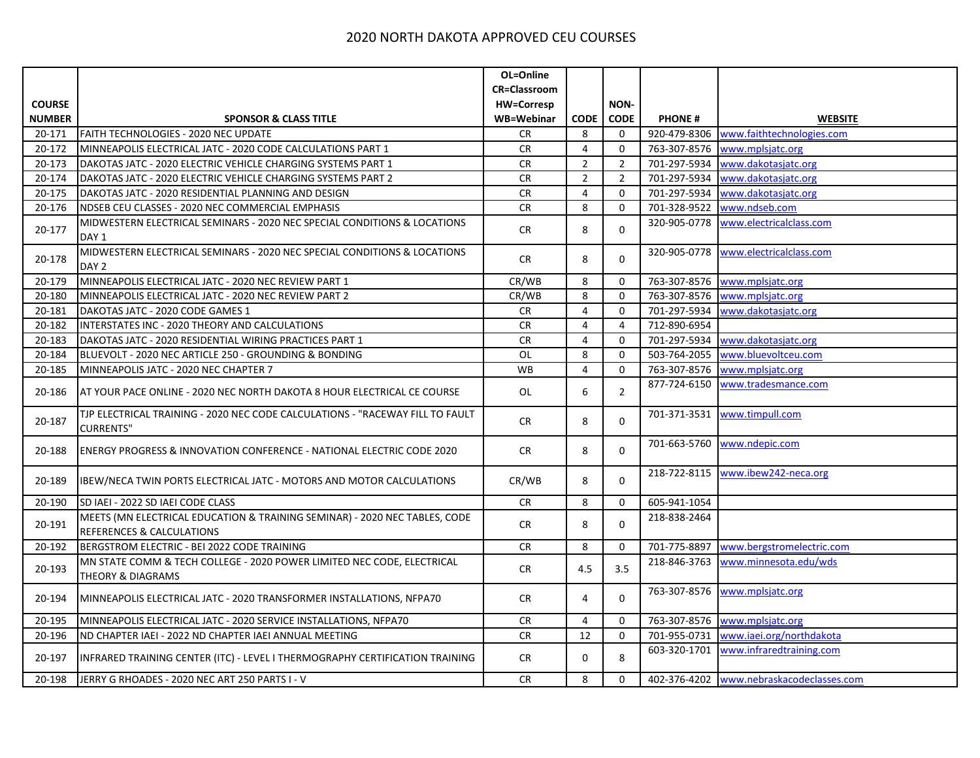|               |                                                                                                         | OL=Online           |                |                |               |                                          |
|---------------|---------------------------------------------------------------------------------------------------------|---------------------|----------------|----------------|---------------|------------------------------------------|
|               |                                                                                                         | <b>CR=Classroom</b> |                |                |               |                                          |
| <b>COURSE</b> |                                                                                                         | <b>HW=Corresp</b>   |                | NON-           |               |                                          |
| <b>NUMBER</b> | <b>SPONSOR &amp; CLASS TITLE</b>                                                                        | WB=Webinar          | <b>CODE</b>    | <b>CODE</b>    | <b>PHONE#</b> | <b>WEBSITE</b>                           |
| 20-171        | FAITH TECHNOLOGIES - 2020 NEC UPDATE                                                                    | <b>CR</b>           | 8              | 0              | 920-479-8306  | www.faithtechnologies.com                |
| 20-172        | MINNEAPOLIS ELECTRICAL JATC - 2020 CODE CALCULATIONS PART 1                                             | <b>CR</b>           | $\overline{4}$ | 0              | 763-307-8576  | www.mplsjatc.org                         |
| 20-173        | DAKOTAS JATC - 2020 ELECTRIC VEHICLE CHARGING SYSTEMS PART 1                                            | <b>CR</b>           | $\overline{2}$ | $\overline{2}$ | 701-297-5934  | www.dakotasjatc.org                      |
| 20-174        | DAKOTAS JATC - 2020 ELECTRIC VEHICLE CHARGING SYSTEMS PART 2                                            | <b>CR</b>           | $\overline{2}$ | $\overline{2}$ | 701-297-5934  | www.dakotasjatc.org                      |
| 20-175        | DAKOTAS JATC - 2020 RESIDENTIAL PLANNING AND DESIGN                                                     | <b>CR</b>           | $\overline{4}$ | $\mathbf 0$    | 701-297-5934  | www.dakotasjatc.org                      |
| 20-176        | NDSEB CEU CLASSES - 2020 NEC COMMERCIAL EMPHASIS                                                        | <b>CR</b>           | 8              | $\mathbf 0$    | 701-328-9522  | www.ndseb.com                            |
| 20-177        | MIDWESTERN ELECTRICAL SEMINARS - 2020 NEC SPECIAL CONDITIONS & LOCATIONS<br>DAY <sub>1</sub>            | <b>CR</b>           | 8              | $\mathbf 0$    | 320-905-0778  | www.electricalclass.com                  |
| 20-178        | MIDWESTERN ELECTRICAL SEMINARS - 2020 NEC SPECIAL CONDITIONS & LOCATIONS<br>DAY <sub>2</sub>            | <b>CR</b>           | 8              | $\mathbf 0$    | 320-905-0778  | www.electricalclass.com                  |
| 20-179        | MINNEAPOLIS ELECTRICAL JATC - 2020 NEC REVIEW PART 1                                                    | CR/WB               | 8              | $\mathbf 0$    | 763-307-8576  | www.mplsjatc.org                         |
| 20-180        | MINNEAPOLIS ELECTRICAL JATC - 2020 NEC REVIEW PART 2                                                    | CR/WB               | 8              | 0              | 763-307-8576  | www.mplsjatc.org                         |
| 20-181        | DAKOTAS JATC - 2020 CODE GAMES 1                                                                        | <b>CR</b>           | $\overline{4}$ | $\mathbf 0$    | 701-297-5934  | www.dakotasjatc.org                      |
| 20-182        | INTERSTATES INC - 2020 THEORY AND CALCULATIONS                                                          | <b>CR</b>           | $\overline{4}$ | 4              | 712-890-6954  |                                          |
| 20-183        | DAKOTAS JATC - 2020 RESIDENTIAL WIRING PRACTICES PART 1                                                 | <b>CR</b>           | $\overline{4}$ | $\mathbf 0$    | 701-297-5934  | www.dakotasjatc.org                      |
| 20-184        | BLUEVOLT - 2020 NEC ARTICLE 250 - GROUNDING & BONDING                                                   | OL                  | 8              | $\mathbf 0$    | 503-764-2055  | www.bluevoltceu.com                      |
| 20-185        | MINNEAPOLIS JATC - 2020 NEC CHAPTER 7                                                                   | <b>WB</b>           | $\overline{4}$ | $\mathbf 0$    | 763-307-8576  | www.mplsjatc.org                         |
| 20-186        | AT YOUR PACE ONLINE - 2020 NEC NORTH DAKOTA 8 HOUR ELECTRICAL CE COURSE                                 | 0L                  | 6              | $\overline{2}$ | 877-724-6150  | www.tradesmance.com                      |
| 20-187        | TJP ELECTRICAL TRAINING - 2020 NEC CODE CALCULATIONS - "RACEWAY FILL TO FAULT<br><b>CURRENTS"</b>       | CR                  | 8              | $\Omega$       |               | 701-371-3531 www.timpull.com             |
| 20-188        | <b>ENERGY PROGRESS &amp; INNOVATION CONFERENCE - NATIONAL ELECTRIC CODE 2020</b>                        | <b>CR</b>           | 8              | 0              | 701-663-5760  | www.ndepic.com                           |
| 20-189        | <b>IBEW/NECA TWIN PORTS ELECTRICAL JATC - MOTORS AND MOTOR CALCULATIONS</b>                             | CR/WB               | 8              | $\Omega$       | 218-722-8115  | www.ibew242-neca.org                     |
| 20-190        | SD IAEI - 2022 SD IAEI CODE CLASS                                                                       | <b>CR</b>           | 8              | 0              | 605-941-1054  |                                          |
| 20-191        | MEETS (MN ELECTRICAL EDUCATION & TRAINING SEMINAR) - 2020 NEC TABLES, CODE<br>REFERENCES & CALCULATIONS | <b>CR</b>           | 8              | $\mathbf 0$    | 218-838-2464  |                                          |
| 20-192        | BERGSTROM ELECTRIC - BEI 2022 CODE TRAINING                                                             | <b>CR</b>           | 8              | $\mathbf 0$    | 701-775-8897  | www.bergstromelectric.com                |
| 20-193        | MN STATE COMM & TECH COLLEGE - 2020 POWER LIMITED NEC CODE, ELECTRICAL<br>THEORY & DIAGRAMS             | CR                  | 4.5            | 3.5            | 218-846-3763  | www.minnesota.edu/wds                    |
| 20-194        | MINNEAPOLIS ELECTRICAL JATC - 2020 TRANSFORMER INSTALLATIONS, NFPA70                                    | <b>CR</b>           | 4              | $\mathbf 0$    | 763-307-8576  | www.mplsjatc.org                         |
| 20-195        | MINNEAPOLIS ELECTRICAL JATC - 2020 SERVICE INSTALLATIONS, NFPA70                                        | CR                  | $\overline{4}$ | $\mathbf 0$    | 763-307-8576  | www.mplsjatc.org                         |
| 20-196        | ND CHAPTER IAEI - 2022 ND CHAPTER IAEI ANNUAL MEETING                                                   | ${\sf CR}$          | 12             | $\mathbf 0$    | 701-955-0731  | www.iaei.org/northdakota                 |
| 20-197        | INFRARED TRAINING CENTER (ITC) - LEVEL I THERMOGRAPHY CERTIFICATION TRAINING                            | <b>CR</b>           | 0              | 8              | 603-320-1701  | www.infraredtraining.com                 |
| 20-198        | JERRY G RHOADES - 2020 NEC ART 250 PARTS I - V                                                          | <b>CR</b>           | 8              | $\mathbf 0$    |               | 402-376-4202 www.nebraskacodeclasses.com |
|               |                                                                                                         |                     |                |                |               |                                          |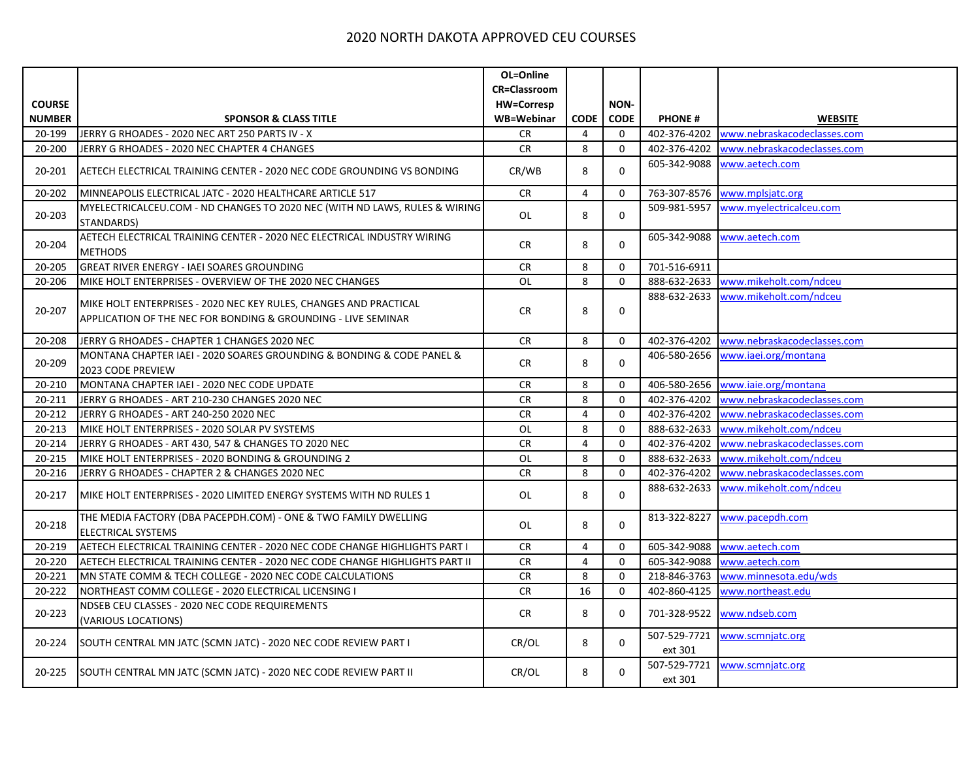|               |                                                                                                                                    | OL=Online           |                |              |                         |                             |
|---------------|------------------------------------------------------------------------------------------------------------------------------------|---------------------|----------------|--------------|-------------------------|-----------------------------|
|               |                                                                                                                                    | <b>CR=Classroom</b> |                |              |                         |                             |
| <b>COURSE</b> |                                                                                                                                    | <b>HW=Corresp</b>   |                | <b>NON-</b>  |                         |                             |
| <b>NUMBER</b> | <b>SPONSOR &amp; CLASS TITLE</b>                                                                                                   | <b>WB=Webinar</b>   | <b>CODE</b>    | <b>CODE</b>  | <b>PHONE#</b>           | <b>WEBSITE</b>              |
| 20-199        | JERRY G RHOADES - 2020 NEC ART 250 PARTS IV - X                                                                                    | CR                  | 4              | $\mathbf 0$  | 402-376-4202            | www.nebraskacodeclasses.com |
| 20-200        | JERRY G RHOADES - 2020 NEC CHAPTER 4 CHANGES                                                                                       | <b>CR</b>           | 8              | $\mathbf 0$  | 402-376-4202            | www.nebraskacodeclasses.com |
| 20-201        | AETECH ELECTRICAL TRAINING CENTER - 2020 NEC CODE GROUNDING VS BONDING                                                             | CR/WB               | 8              | 0            | 605-342-9088            | www.aetech.com              |
| 20-202        | MINNEAPOLIS ELECTRICAL JATC - 2020 HEALTHCARE ARTICLE 517                                                                          | CR                  | $\overline{4}$ | $\mathbf 0$  | 763-307-8576            | www.mplsjatc.org            |
| 20-203        | MYELECTRICALCEU.COM - ND CHANGES TO 2020 NEC (WITH ND LAWS, RULES & WIRING<br>STANDARDS)                                           | OL                  | 8              | $\mathbf{0}$ | 509-981-5957            | www.myelectricalceu.com     |
| 20-204        | AETECH ELECTRICAL TRAINING CENTER - 2020 NEC ELECTRICAL INDUSTRY WIRING<br><b>METHODS</b>                                          | CR                  | 8              | $\mathbf 0$  | 605-342-9088            | www.aetech.com              |
| 20-205        | GREAT RIVER ENERGY - IAEI SOARES GROUNDING                                                                                         | ${\sf CR}$          | 8              | $\mathbf 0$  | 701-516-6911            |                             |
| 20-206        | MIKE HOLT ENTERPRISES - OVERVIEW OF THE 2020 NEC CHANGES                                                                           | <b>OL</b>           | 8              | $\mathbf{0}$ | 888-632-2633            | www.mikeholt.com/ndceu      |
| 20-207        | MIKE HOLT ENTERPRISES - 2020 NEC KEY RULES, CHANGES AND PRACTICAL<br>APPLICATION OF THE NEC FOR BONDING & GROUNDING - LIVE SEMINAR | <b>CR</b>           | 8              | $\mathbf 0$  | 888-632-2633            | www.mikeholt.com/ndceu      |
| 20-208        | JERRY G RHOADES - CHAPTER 1 CHANGES 2020 NEC                                                                                       | <b>CR</b>           | 8              | $\mathbf 0$  | 402-376-4202            | www.nebraskacodeclasses.com |
| 20-209        | MONTANA CHAPTER IAEI - 2020 SOARES GROUNDING & BONDING & CODE PANEL &<br>2023 CODE PREVIEW                                         | <b>CR</b>           | 8              | $\mathbf 0$  | 406-580-2656            | www.iaei.org/montana        |
| 20-210        | MONTANA CHAPTER IAEI - 2020 NEC CODE UPDATE                                                                                        | <b>CR</b>           | 8              | 0            | 406-580-2656            | www.iaie.org/montana        |
| 20-211        | JERRY G RHOADES - ART 210-230 CHANGES 2020 NEC                                                                                     | <b>CR</b>           | $\overline{8}$ | 0            | 402-376-4202            | www.nebraskacodeclasses.com |
| 20-212        | JERRY G RHOADES - ART 240-250 2020 NEC                                                                                             | <b>CR</b>           | $\overline{4}$ | $\mathbf 0$  | 402-376-4202            | www.nebraskacodeclasses.com |
| 20-213        | MIKE HOLT ENTERPRISES - 2020 SOLAR PV SYSTEMS                                                                                      | <b>OL</b>           | 8              | $\Omega$     | 888-632-2633            | www.mikeholt.com/ndceu      |
| 20-214        | JERRY G RHOADES - ART 430, 547 & CHANGES TO 2020 NEC                                                                               | <b>CR</b>           | $\overline{4}$ | $\mathbf 0$  | 402-376-4202            | www.nebraskacodeclasses.com |
| 20-215        | MIKE HOLT ENTERPRISES - 2020 BONDING & GROUNDING 2                                                                                 | OL                  | 8              | $\mathbf 0$  | 888-632-2633            | www.mikeholt.com/ndceu      |
| 20-216        | JERRY G RHOADES - CHAPTER 2 & CHANGES 2020 NEC                                                                                     | <b>CR</b>           | 8              | $\mathbf 0$  | 402-376-4202            | www.nebraskacodeclasses.com |
| 20-217        | MIKE HOLT ENTERPRISES - 2020 LIMITED ENERGY SYSTEMS WITH ND RULES 1                                                                | OL                  | 8              | 0            | 888-632-2633            | www.mikeholt.com/ndceu      |
| 20-218        | THE MEDIA FACTORY (DBA PACEPDH.COM) - ONE & TWO FAMILY DWELLING<br><b>ELECTRICAL SYSTEMS</b>                                       | OL                  | 8              | $\Omega$     | 813-322-8227            | www.pacepdh.com             |
| 20-219        | AETECH ELECTRICAL TRAINING CENTER - 2020 NEC CODE CHANGE HIGHLIGHTS PART I                                                         | CR                  | 4              | 0            | 605-342-9088            | www.aetech.com              |
| 20-220        | AETECH ELECTRICAL TRAINING CENTER - 2020 NEC CODE CHANGE HIGHLIGHTS PART II                                                        | <b>CR</b>           | $\overline{4}$ | $\mathbf 0$  | 605-342-9088            | www.aetech.com              |
| 20-221        | MN STATE COMM & TECH COLLEGE - 2020 NEC CODE CALCULATIONS                                                                          | CR                  | 8              | $\Omega$     | 218-846-3763            | www.minnesota.edu/wds       |
| 20-222        | NORTHEAST COMM COLLEGE - 2020 ELECTRICAL LICENSING I                                                                               | <b>CR</b>           | 16             | $\mathbf 0$  | 402-860-4125            | www.northeast.edu           |
| 20-223        | NDSEB CEU CLASSES - 2020 NEC CODE REQUIREMENTS<br>(VARIOUS LOCATIONS)                                                              | <b>CR</b>           | 8              | $\mathbf 0$  |                         | 701-328-9522 www.ndseb.com  |
| 20-224        | SOUTH CENTRAL MN JATC (SCMN JATC) - 2020 NEC CODE REVIEW PART I                                                                    | CR/OL               | 8              | 0            | 507-529-7721<br>ext 301 | www.scmnjatc.org            |
| 20-225        | SOUTH CENTRAL MN JATC (SCMN JATC) - 2020 NEC CODE REVIEW PART II                                                                   | CR/OL               | 8              | 0            | 507-529-7721<br>ext 301 | www.scmnjatc.org            |